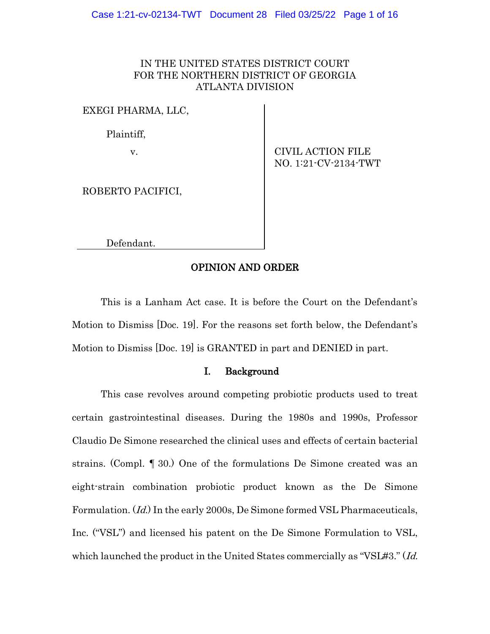# IN THE UNITED STATES DISTRICT COURT FOR THE NORTHERN DISTRICT OF GEORGIA ATLANTA DIVISION

EXEGI PHARMA, LLC,

Plaintiff,

v. CIVIL ACTION FILE NO. 1:21-CV-2134-TWT

ROBERTO PACIFICI,

Defendant.

#### OPINION AND ORDER

This is a Lanham Act case. It is before the Court on the Defendant's Motion to Dismiss [Doc. 19]. For the reasons set forth below, the Defendant's Motion to Dismiss [Doc. 19] is GRANTED in part and DENIED in part.

## I. Background

This case revolves around competing probiotic products used to treat certain gastrointestinal diseases. During the 1980s and 1990s, Professor Claudio De Simone researched the clinical uses and effects of certain bacterial strains. (Compl. ¶ 30.) One of the formulations De Simone created was an eight-strain combination probiotic product known as the De Simone Formulation. (*Id.*) In the early 2000s, De Simone formed VSL Pharmaceuticals, Inc. ("VSL") and licensed his patent on the De Simone Formulation to VSL, which launched the product in the United States commercially as "VSL#3." (Id.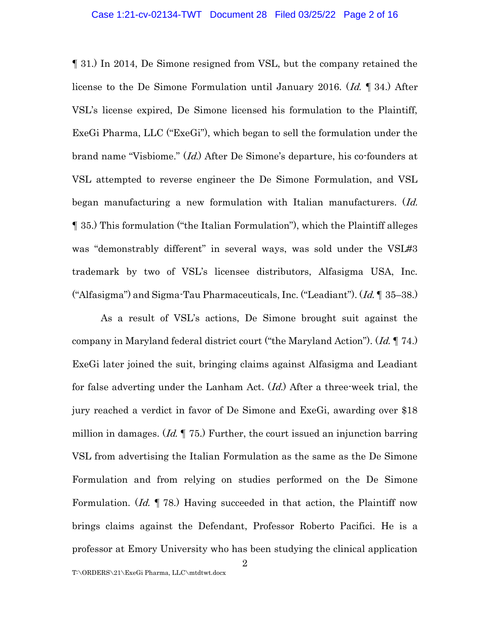¶ 31.) In 2014, De Simone resigned from VSL, but the company retained the license to the De Simone Formulation until January 2016. (Id. 1 34.) After VSL's license expired, De Simone licensed his formulation to the Plaintiff, ExeGi Pharma, LLC ("ExeGi"), which began to sell the formulation under the brand name "Visbiome." (Id.) After De Simone's departure, his co-founders at VSL attempted to reverse engineer the De Simone Formulation, and VSL began manufacturing a new formulation with Italian manufacturers. (Id. ¶ 35.) This formulation ("the Italian Formulation"), which the Plaintiff alleges was "demonstrably different" in several ways, was sold under the VSL#3 trademark by two of VSL's licensee distributors, Alfasigma USA, Inc. ("Alfasigma") and Sigma-Tau Pharmaceuticals, Inc. ("Leadiant").  $(Id. \P. 35-38$ .)

As a result of VSL's actions, De Simone brought suit against the company in Maryland federal district court ("the Maryland Action"). (Id. ¶ 74.) ExeGi later joined the suit, bringing claims against Alfasigma and Leadiant for false adverting under the Lanham Act. (Id.) After a three-week trial, the jury reached a verdict in favor of De Simone and ExeGi, awarding over \$18 million in damages.  $Id. \P$  75.) Further, the court issued an injunction barring VSL from advertising the Italian Formulation as the same as the De Simone Formulation and from relying on studies performed on the De Simone Formulation.  $(Id. \P 78)$  Having succeeded in that action, the Plaintiff now brings claims against the Defendant, Professor Roberto Pacifici. He is a professor at Emory University who has been studying the clinical application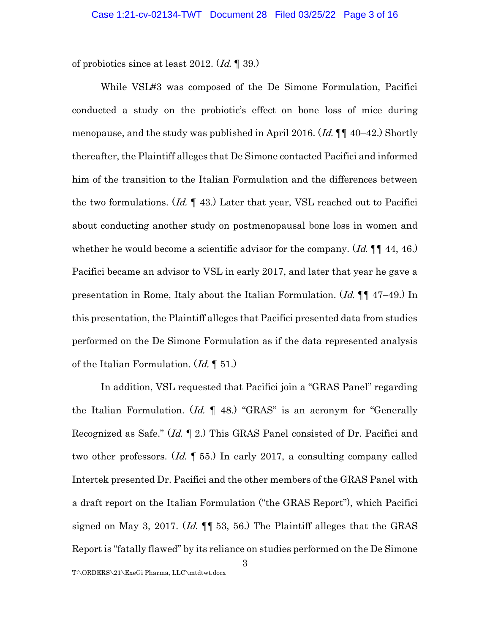of probiotics since at least 2012.  $(Id. \P$  39.)

While VSL#3 was composed of the De Simone Formulation, Pacifici conducted a study on the probiotic's effect on bone loss of mice during menopause, and the study was published in April 2016. (*Id.*  $\P\P$  40–42.) Shortly thereafter, the Plaintiff alleges that De Simone contacted Pacifici and informed him of the transition to the Italian Formulation and the differences between the two formulations.  $(Id. \P 43)$  Later that year, VSL reached out to Pacifici about conducting another study on postmenopausal bone loss in women and whether he would become a scientific advisor for the company.  $(Id. \P\P 44, 46.)$ Pacifici became an advisor to VSL in early 2017, and later that year he gave a presentation in Rome, Italy about the Italian Formulation. (Id. ¶¶ 47–49.) In this presentation, the Plaintiff alleges that Pacifici presented data from studies performed on the De Simone Formulation as if the data represented analysis of the Italian Formulation.  $(Id. \P 51)$ 

In addition, VSL requested that Pacifici join a "GRAS Panel" regarding the Italian Formulation.  $(Id. \P 48)$  "GRAS" is an acronym for "Generally Recognized as Safe." (Id. ¶ 2.) This GRAS Panel consisted of Dr. Pacifici and two other professors. (*Id.* 155.) In early 2017, a consulting company called Intertek presented Dr. Pacifici and the other members of the GRAS Panel with a draft report on the Italian Formulation ("the GRAS Report"), which Pacifici signed on May 3, 2017. (*Id.*  $\P$  53, 56.) The Plaintiff alleges that the GRAS Report is "fatally flawed" by its reliance on studies performed on the De Simone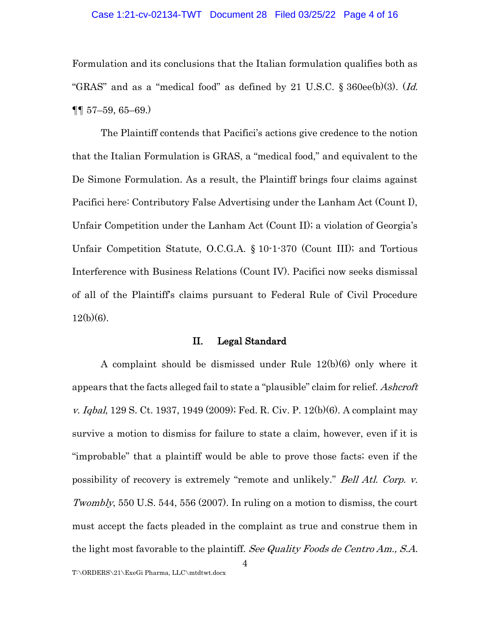#### Case 1:21-cv-02134-TWT Document 28 Filed 03/25/22 Page 4 of 16

Formulation and its conclusions that the Italian formulation qualifies both as "GRAS" and as a "medical food" as defined by 21 U.S.C. § 360ee(b)(3). (Id. ¶¶ 57–59, 65–69.)

The Plaintiff contends that Pacifici's actions give credence to the notion that the Italian Formulation is GRAS, a "medical food," and equivalent to the De Simone Formulation. As a result, the Plaintiff brings four claims against Pacifici here: Contributory False Advertising under the Lanham Act (Count I), Unfair Competition under the Lanham Act (Count II); a violation of Georgia's Unfair Competition Statute, O.C.G.A. § 10-1-370 (Count III); and Tortious Interference with Business Relations (Count IV). Pacifici now seeks dismissal of all of the Plaintiff's claims pursuant to Federal Rule of Civil Procedure  $12(b)(6)$ .

## II. Legal Standard

A complaint should be dismissed under Rule 12(b)(6) only where it appears that the facts alleged fail to state a "plausible" claim for relief. Ashcroft v. Iqbal, 129 S. Ct. 1937, 1949 (2009); Fed. R. Civ. P. 12(b)(6). A complaint may survive a motion to dismiss for failure to state a claim, however, even if it is "improbable" that a plaintiff would be able to prove those facts; even if the possibility of recovery is extremely "remote and unlikely." Bell Atl. Corp. v. Twombly, 550 U.S. 544, 556 (2007). In ruling on a motion to dismiss, the court must accept the facts pleaded in the complaint as true and construe them in the light most favorable to the plaintiff. See Quality Foods de Centro Am., S.A.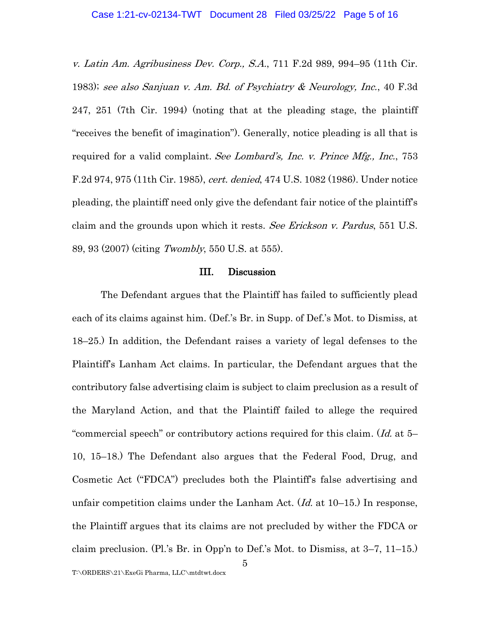v. Latin Am. Agribusiness Dev. Corp., S.A., 711 F.2d 989, 994–95 (11th Cir. 1983); see also Sanjuan v. Am. Bd. of Psychiatry & Neurology, Inc., 40 F.3d 247, 251 (7th Cir. 1994) (noting that at the pleading stage, the plaintiff "receives the benefit of imagination"). Generally, notice pleading is all that is required for a valid complaint. See Lombard's, Inc. v. Prince Mfg., Inc., 753 F.2d 974, 975 (11th Cir. 1985), cert. denied, 474 U.S. 1082 (1986). Under notice pleading, the plaintiff need only give the defendant fair notice of the plaintiff's claim and the grounds upon which it rests. See Erickson v. Pardus, 551 U.S. 89, 93 (2007) (citing Twombly, 550 U.S. at 555).

#### III. Discussion

The Defendant argues that the Plaintiff has failed to sufficiently plead each of its claims against him. (Def.'s Br. in Supp. of Def.'s Mot. to Dismiss, at 18–25.) In addition, the Defendant raises a variety of legal defenses to the Plaintiff's Lanham Act claims. In particular, the Defendant argues that the contributory false advertising claim is subject to claim preclusion as a result of the Maryland Action, and that the Plaintiff failed to allege the required "commercial speech" or contributory actions required for this claim. (Id. at 5– 10, 15–18.) The Defendant also argues that the Federal Food, Drug, and Cosmetic Act ("FDCA") precludes both the Plaintiff's false advertising and unfair competition claims under the Lanham Act.  $(Id.$  at 10–15.) In response, the Plaintiff argues that its claims are not precluded by wither the FDCA or claim preclusion. (Pl.'s Br. in Opp'n to Def.'s Mot. to Dismiss, at 3–7, 11–15.)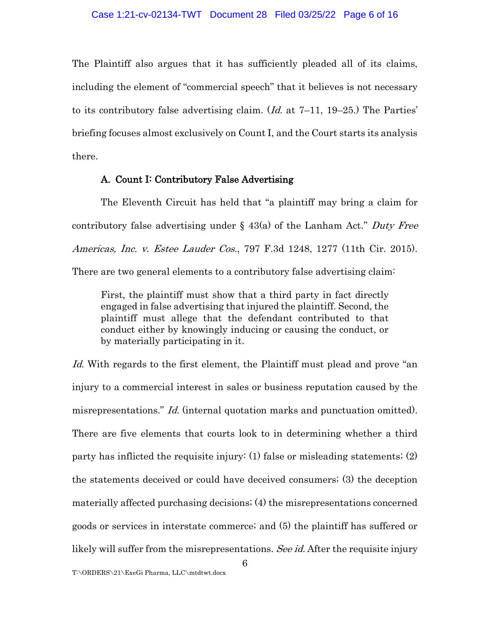The Plaintiff also argues that it has sufficiently pleaded all of its claims, including the element of "commercial speech" that it believes is not necessary to its contributory false advertising claim.  $(Id.$  at 7–11, 19–25.) The Parties' briefing focuses almost exclusively on Count I, and the Court starts its analysis there.

## A. Count I: Contributory False Advertising

The Eleventh Circuit has held that "a plaintiff may bring a claim for contributory false advertising under  $\S$  43(a) of the Lanham Act." Duty Free Americas, Inc. v. Estee Lauder Cos., 797 F.3d 1248, 1277 (11th Cir. 2015). There are two general elements to a contributory false advertising claim:

First, the plaintiff must show that a third party in fact directly engaged in false advertising that injured the plaintiff. Second, the plaintiff must allege that the defendant contributed to that conduct either by knowingly inducing or causing the conduct, or by materially participating in it.

Id. With regards to the first element, the Plaintiff must plead and prove "an injury to a commercial interest in sales or business reputation caused by the misrepresentations." *Id.* (internal quotation marks and punctuation omitted). There are five elements that courts look to in determining whether a third party has inflicted the requisite injury: (1) false or misleading statements; (2) the statements deceived or could have deceived consumers; (3) the deception materially affected purchasing decisions; (4) the misrepresentations concerned goods or services in interstate commerce; and (5) the plaintiff has suffered or likely will suffer from the misrepresentations. See id. After the requisite injury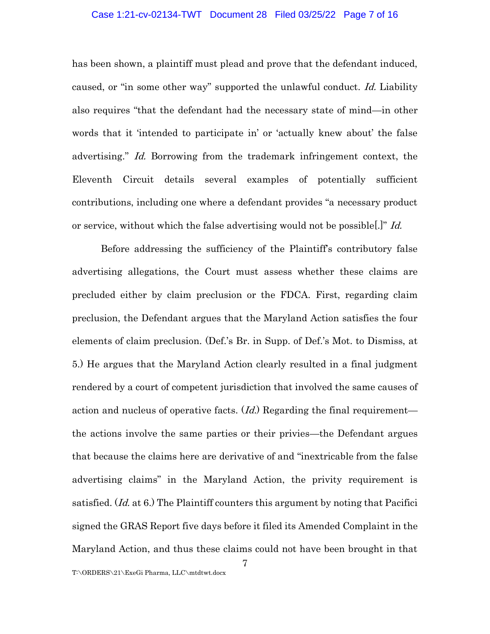#### Case 1:21-cv-02134-TWT Document 28 Filed 03/25/22 Page 7 of 16

has been shown, a plaintiff must plead and prove that the defendant induced, caused, or "in some other way" supported the unlawful conduct. Id. Liability also requires "that the defendant had the necessary state of mind—in other words that it 'intended to participate in' or 'actually knew about' the false advertising." Id. Borrowing from the trademark infringement context, the Eleventh Circuit details several examples of potentially sufficient contributions, including one where a defendant provides "a necessary product or service, without which the false advertising would not be possible.]" Id.

Before addressing the sufficiency of the Plaintiff's contributory false advertising allegations, the Court must assess whether these claims are precluded either by claim preclusion or the FDCA. First, regarding claim preclusion, the Defendant argues that the Maryland Action satisfies the four elements of claim preclusion. (Def.'s Br. in Supp. of Def.'s Mot. to Dismiss, at 5.) He argues that the Maryland Action clearly resulted in a final judgment rendered by a court of competent jurisdiction that involved the same causes of action and nucleus of operative facts.  $(Id)$  Regarding the final requirement the actions involve the same parties or their privies—the Defendant argues that because the claims here are derivative of and "inextricable from the false advertising claims" in the Maryland Action, the privity requirement is satisfied.  $(Id, at 6.)$  The Plaintiff counters this argument by noting that Pacifici signed the GRAS Report five days before it filed its Amended Complaint in the Maryland Action, and thus these claims could not have been brought in that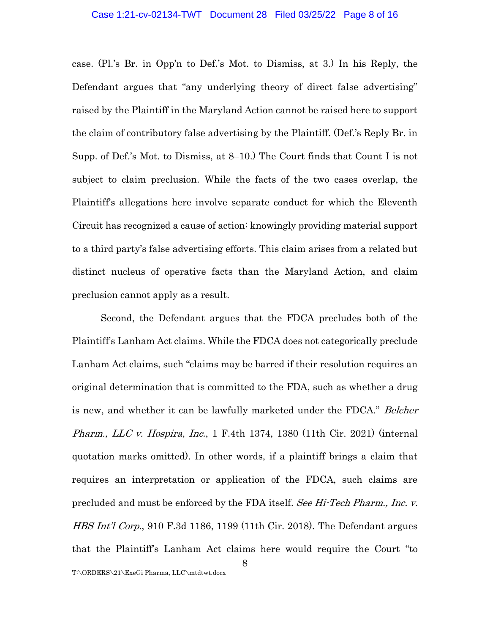case. (Pl.'s Br. in Opp'n to Def.'s Mot. to Dismiss, at 3.) In his Reply, the Defendant argues that "any underlying theory of direct false advertising" raised by the Plaintiff in the Maryland Action cannot be raised here to support the claim of contributory false advertising by the Plaintiff. (Def.'s Reply Br. in Supp. of Def.'s Mot. to Dismiss, at 8–10.) The Court finds that Count I is not subject to claim preclusion. While the facts of the two cases overlap, the Plaintiff's allegations here involve separate conduct for which the Eleventh Circuit has recognized a cause of action: knowingly providing material support to a third party's false advertising efforts. This claim arises from a related but distinct nucleus of operative facts than the Maryland Action, and claim preclusion cannot apply as a result.

Second, the Defendant argues that the FDCA precludes both of the Plaintiff's Lanham Act claims. While the FDCA does not categorically preclude Lanham Act claims, such "claims may be barred if their resolution requires an original determination that is committed to the FDA, such as whether a drug is new, and whether it can be lawfully marketed under the FDCA." Belcher *Pharm., LLC v. Hospira, Inc.*, 1 F.4th 1374, 1380 (11th Cir. 2021) (internal quotation marks omitted). In other words, if a plaintiff brings a claim that requires an interpretation or application of the FDCA, such claims are precluded and must be enforced by the FDA itself. See Hi-Tech Pharm., Inc. v. HBS Int'l Corp., 910 F.3d 1186, 1199 (11th Cir. 2018). The Defendant argues that the Plaintiff's Lanham Act claims here would require the Court "to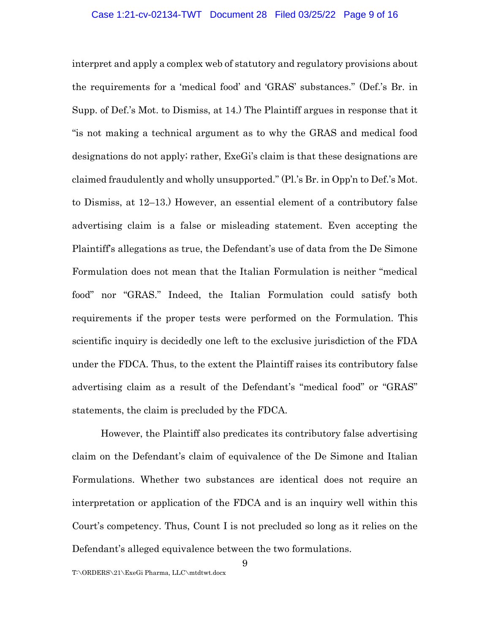interpret and apply a complex web of statutory and regulatory provisions about the requirements for a 'medical food' and 'GRAS' substances." (Def.'s Br. in Supp. of Def.'s Mot. to Dismiss, at 14.) The Plaintiff argues in response that it "is not making a technical argument as to why the GRAS and medical food designations do not apply; rather, ExeGi's claim is that these designations are claimed fraudulently and wholly unsupported." (Pl.'s Br. in Opp'n to Def.'s Mot. to Dismiss, at 12–13.) However, an essential element of a contributory false advertising claim is a false or misleading statement. Even accepting the Plaintiff's allegations as true, the Defendant's use of data from the De Simone Formulation does not mean that the Italian Formulation is neither "medical food" nor "GRAS." Indeed, the Italian Formulation could satisfy both requirements if the proper tests were performed on the Formulation. This scientific inquiry is decidedly one left to the exclusive jurisdiction of the FDA under the FDCA. Thus, to the extent the Plaintiff raises its contributory false advertising claim as a result of the Defendant's "medical food" or "GRAS" statements, the claim is precluded by the FDCA.

However, the Plaintiff also predicates its contributory false advertising claim on the Defendant's claim of equivalence of the De Simone and Italian Formulations. Whether two substances are identical does not require an interpretation or application of the FDCA and is an inquiry well within this Court's competency. Thus, Count I is not precluded so long as it relies on the Defendant's alleged equivalence between the two formulations.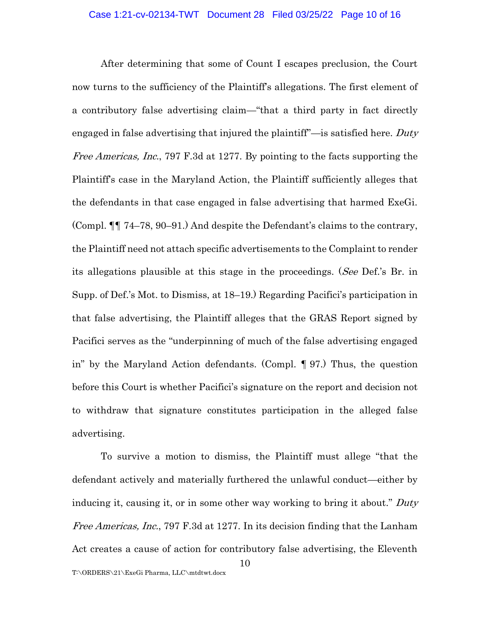After determining that some of Count I escapes preclusion, the Court now turns to the sufficiency of the Plaintiff's allegations. The first element of a contributory false advertising claim—"that a third party in fact directly engaged in false advertising that injured the plaintiff<sup>"</sup>—is satisfied here. Duty Free Americas, Inc., 797 F.3d at 1277. By pointing to the facts supporting the Plaintiff's case in the Maryland Action, the Plaintiff sufficiently alleges that the defendants in that case engaged in false advertising that harmed ExeGi. (Compl. ¶¶ 74–78, 90–91.) And despite the Defendant's claims to the contrary, the Plaintiff need not attach specific advertisements to the Complaint to render its allegations plausible at this stage in the proceedings. (See Def.'s Br. in Supp. of Def.'s Mot. to Dismiss, at 18–19.) Regarding Pacifici's participation in that false advertising, the Plaintiff alleges that the GRAS Report signed by Pacifici serves as the "underpinning of much of the false advertising engaged in" by the Maryland Action defendants. (Compl. ¶ 97.) Thus, the question before this Court is whether Pacifici's signature on the report and decision not to withdraw that signature constitutes participation in the alleged false advertising.

10 To survive a motion to dismiss, the Plaintiff must allege "that the defendant actively and materially furthered the unlawful conduct—either by inducing it, causing it, or in some other way working to bring it about." Duty Free Americas, Inc., 797 F.3d at 1277. In its decision finding that the Lanham Act creates a cause of action for contributory false advertising, the Eleventh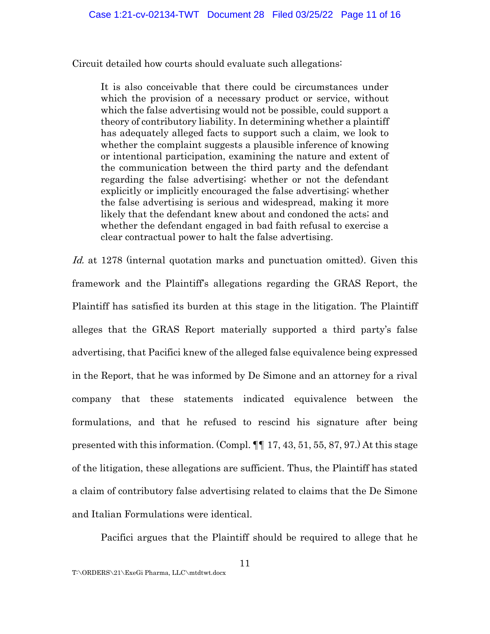Circuit detailed how courts should evaluate such allegations:

It is also conceivable that there could be circumstances under which the provision of a necessary product or service, without which the false advertising would not be possible, could support a theory of contributory liability. In determining whether a plaintiff has adequately alleged facts to support such a claim, we look to whether the complaint suggests a plausible inference of knowing or intentional participation, examining the nature and extent of the communication between the third party and the defendant regarding the false advertising; whether or not the defendant explicitly or implicitly encouraged the false advertising; whether the false advertising is serious and widespread, making it more likely that the defendant knew about and condoned the acts; and whether the defendant engaged in bad faith refusal to exercise a clear contractual power to halt the false advertising.

Id. at 1278 (internal quotation marks and punctuation omitted). Given this framework and the Plaintiff's allegations regarding the GRAS Report, the Plaintiff has satisfied its burden at this stage in the litigation. The Plaintiff alleges that the GRAS Report materially supported a third party's false advertising, that Pacifici knew of the alleged false equivalence being expressed in the Report, that he was informed by De Simone and an attorney for a rival company that these statements indicated equivalence between the formulations, and that he refused to rescind his signature after being presented with this information. (Compl. ¶¶ 17, 43, 51, 55, 87, 97.) At this stage of the litigation, these allegations are sufficient. Thus, the Plaintiff has stated a claim of contributory false advertising related to claims that the De Simone and Italian Formulations were identical.

Pacifici argues that the Plaintiff should be required to allege that he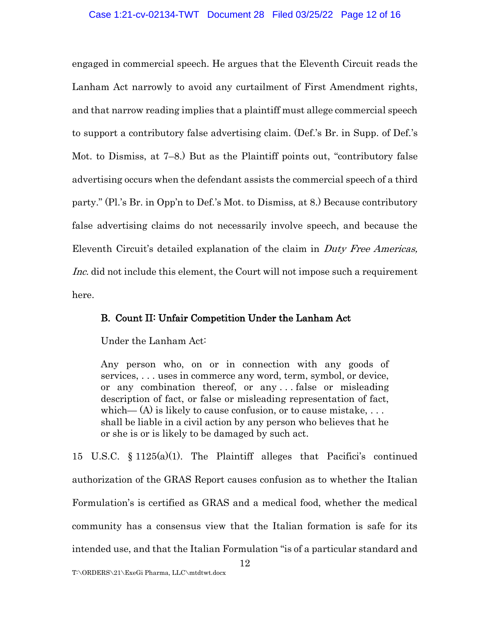engaged in commercial speech. He argues that the Eleventh Circuit reads the Lanham Act narrowly to avoid any curtailment of First Amendment rights, and that narrow reading implies that a plaintiff must allege commercial speech to support a contributory false advertising claim. (Def.'s Br. in Supp. of Def.'s Mot. to Dismiss, at 7–8.) But as the Plaintiff points out, "contributory false advertising occurs when the defendant assists the commercial speech of a third party." (Pl.'s Br. in Opp'n to Def.'s Mot. to Dismiss, at 8.) Because contributory false advertising claims do not necessarily involve speech, and because the Eleventh Circuit's detailed explanation of the claim in Duty Free Americas, Inc. did not include this element, the Court will not impose such a requirement here.

# B. Count II: Unfair Competition Under the Lanham Act

Under the Lanham Act:

Any person who, on or in connection with any goods of services, . . . uses in commerce any word, term, symbol, or device, or any combination thereof, or any . . . false or misleading description of fact, or false or misleading representation of fact, which—  $(A)$  is likely to cause confusion, or to cause mistake, ... shall be liable in a civil action by any person who believes that he or she is or is likely to be damaged by such act.

15 U.S.C. § 1125(a)(1). The Plaintiff alleges that Pacifici's continued authorization of the GRAS Report causes confusion as to whether the Italian Formulation's is certified as GRAS and a medical food, whether the medical community has a consensus view that the Italian formation is safe for its intended use, and that the Italian Formulation "is of a particular standard and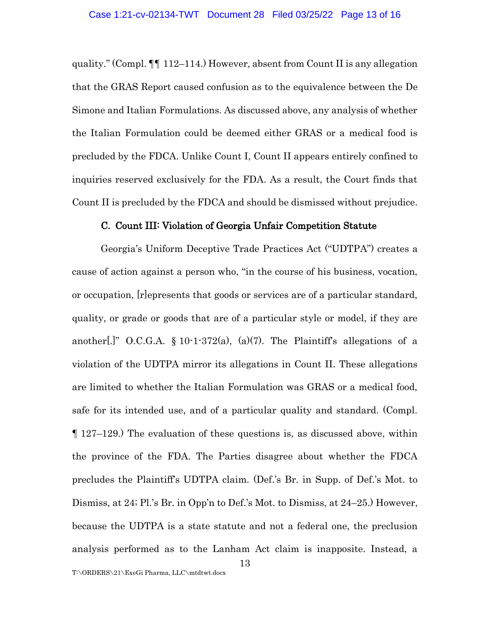quality." (Compl. ¶¶ 112–114.) However, absent from Count II is any allegation that the GRAS Report caused confusion as to the equivalence between the De Simone and Italian Formulations. As discussed above, any analysis of whether the Italian Formulation could be deemed either GRAS or a medical food is precluded by the FDCA. Unlike Count I, Count II appears entirely confined to inquiries reserved exclusively for the FDA. As a result, the Court finds that Count II is precluded by the FDCA and should be dismissed without prejudice.

#### C. Count III: Violation of Georgia Unfair Competition Statute

Georgia's Uniform Deceptive Trade Practices Act ("UDTPA") creates a cause of action against a person who, "in the course of his business, vocation, or occupation, [r]epresents that goods or services are of a particular standard, quality, or grade or goods that are of a particular style or model, if they are another[.]" O.C.G.A.  $\S 10$ -1-372(a), (a)(7). The Plaintiff's allegations of a violation of the UDTPA mirror its allegations in Count II. These allegations are limited to whether the Italian Formulation was GRAS or a medical food, safe for its intended use, and of a particular quality and standard. (Compl. ¶ 127–129.) The evaluation of these questions is, as discussed above, within the province of the FDA. The Parties disagree about whether the FDCA precludes the Plaintiff's UDTPA claim. (Def.'s Br. in Supp. of Def.'s Mot. to Dismiss, at 24; Pl.'s Br. in Opp'n to Def.'s Mot. to Dismiss, at 24–25.) However, because the UDTPA is a state statute and not a federal one, the preclusion analysis performed as to the Lanham Act claim is inapposite. Instead, a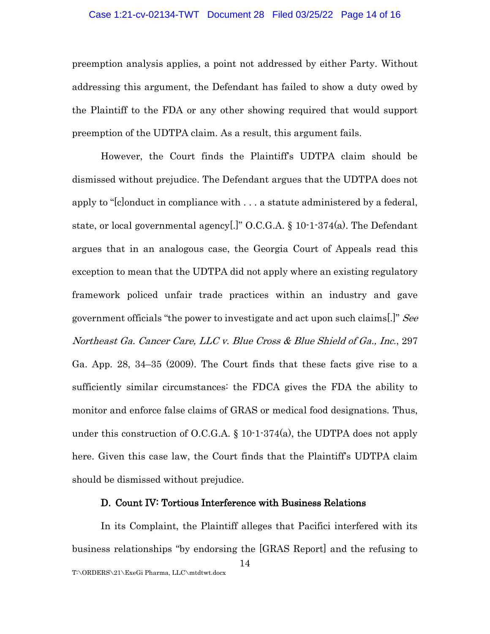#### Case 1:21-cv-02134-TWT Document 28 Filed 03/25/22 Page 14 of 16

preemption analysis applies, a point not addressed by either Party. Without addressing this argument, the Defendant has failed to show a duty owed by the Plaintiff to the FDA or any other showing required that would support preemption of the UDTPA claim. As a result, this argument fails.

However, the Court finds the Plaintiff's UDTPA claim should be dismissed without prejudice. The Defendant argues that the UDTPA does not apply to "[c]onduct in compliance with . . . a statute administered by a federal, state, or local governmental agency[.]" O.C.G.A. § 10-1-374(a). The Defendant argues that in an analogous case, the Georgia Court of Appeals read this exception to mean that the UDTPA did not apply where an existing regulatory framework policed unfair trade practices within an industry and gave government officials "the power to investigate and act upon such claims[.]" See Northeast Ga. Cancer Care, LLC v. Blue Cross & Blue Shield of Ga., Inc., 297 Ga. App. 28, 34–35 (2009). The Court finds that these facts give rise to a sufficiently similar circumstances: the FDCA gives the FDA the ability to monitor and enforce false claims of GRAS or medical food designations. Thus, under this construction of O.C.G.A.  $\S 10$ -1-374(a), the UDTPA does not apply here. Given this case law, the Court finds that the Plaintiff's UDTPA claim should be dismissed without prejudice.

# D. Count IV: Tortious Interference with Business Relations

14 T:\ORDERS\21\ExeGi Pharma, LLC\mtdtwt.docx In its Complaint, the Plaintiff alleges that Pacifici interfered with its business relationships "by endorsing the [GRAS Report] and the refusing to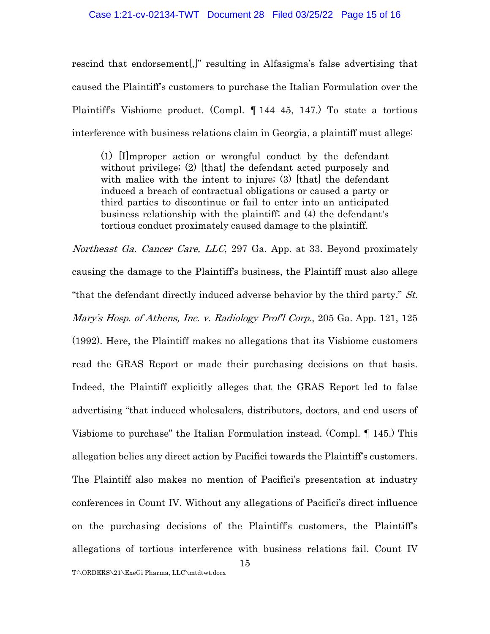rescind that endorsement[,]" resulting in Alfasigma's false advertising that caused the Plaintiff's customers to purchase the Italian Formulation over the Plaintiff's Visbiome product. (Compl. ¶ 144–45, 147.) To state a tortious interference with business relations claim in Georgia, a plaintiff must allege:

(1) [I]mproper action or wrongful conduct by the defendant without privilege; (2) [that] the defendant acted purposely and with malice with the intent to injure; (3) [that] the defendant induced a breach of contractual obligations or caused a party or third parties to discontinue or fail to enter into an anticipated business relationship with the plaintiff; and (4) the defendant's tortious conduct proximately caused damage to the plaintiff.

Northeast Ga. Cancer Care, LLC, 297 Ga. App. at 33. Beyond proximately causing the damage to the Plaintiff's business, the Plaintiff must also allege "that the defendant directly induced adverse behavior by the third party."  $St$ . Mary's Hosp. of Athens, Inc. v. Radiology Prof'l Corp., 205 Ga. App. 121, 125 (1992). Here, the Plaintiff makes no allegations that its Visbiome customers read the GRAS Report or made their purchasing decisions on that basis. Indeed, the Plaintiff explicitly alleges that the GRAS Report led to false advertising "that induced wholesalers, distributors, doctors, and end users of Visbiome to purchase" the Italian Formulation instead. (Compl. ¶ 145.) This allegation belies any direct action by Pacifici towards the Plaintiff's customers. The Plaintiff also makes no mention of Pacifici's presentation at industry conferences in Count IV. Without any allegations of Pacifici's direct influence on the purchasing decisions of the Plaintiff's customers, the Plaintiff's allegations of tortious interference with business relations fail. Count IV